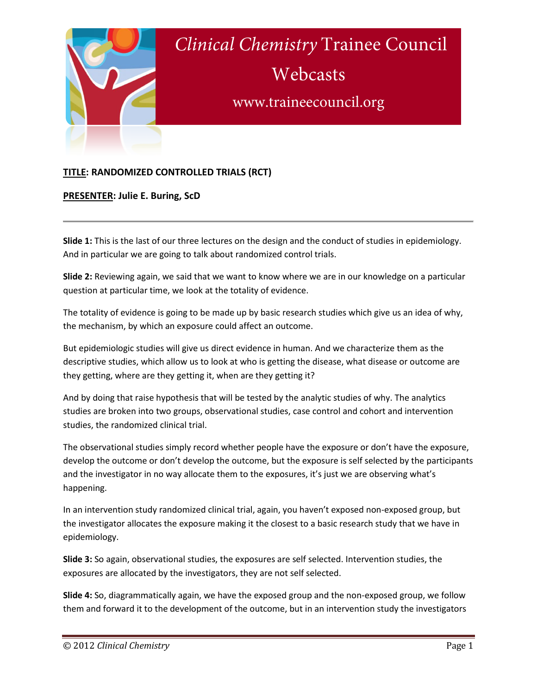

## **TITLE: RANDOMIZED CONTROLLED TRIALS (RCT)**

**PRESENTER: Julie E. Buring, ScD**

**Slide 1:** This is the last of our three lectures on the design and the conduct of studies in epidemiology. And in particular we are going to talk about randomized control trials.

**Slide 2:** Reviewing again, we said that we want to know where we are in our knowledge on a particular question at particular time, we look at the totality of evidence.

The totality of evidence is going to be made up by basic research studies which give us an idea of why, the mechanism, by which an exposure could affect an outcome.

But epidemiologic studies will give us direct evidence in human. And we characterize them as the descriptive studies, which allow us to look at who is getting the disease, what disease or outcome are they getting, where are they getting it, when are they getting it?

And by doing that raise hypothesis that will be tested by the analytic studies of why. The analytics studies are broken into two groups, observational studies, case control and cohort and intervention studies, the randomized clinical trial.

The observational studies simply record whether people have the exposure or don't have the exposure, develop the outcome or don't develop the outcome, but the exposure is self selected by the participants and the investigator in no way allocate them to the exposures, it's just we are observing what's happening.

In an intervention study randomized clinical trial, again, you haven't exposed non-exposed group, but the investigator allocates the exposure making it the closest to a basic research study that we have in epidemiology.

**Slide 3:** So again, observational studies, the exposures are self selected. Intervention studies, the exposures are allocated by the investigators, they are not self selected.

**Slide 4:** So, diagrammatically again, we have the exposed group and the non-exposed group, we follow them and forward it to the development of the outcome, but in an intervention study the investigators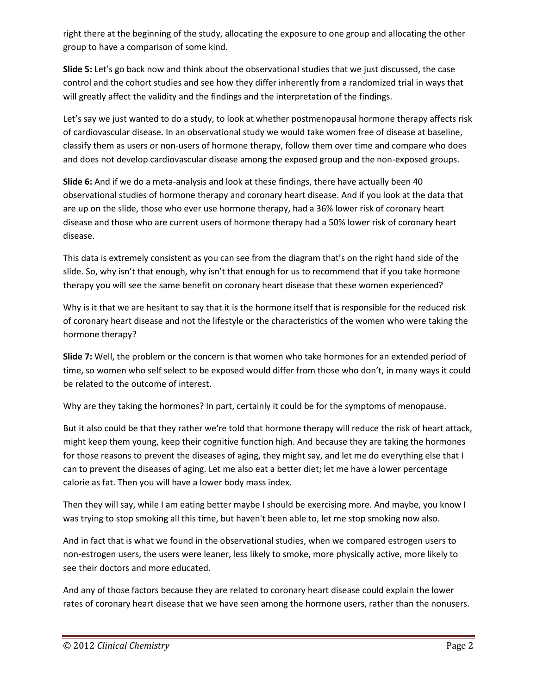right there at the beginning of the study, allocating the exposure to one group and allocating the other group to have a comparison of some kind.

**Slide 5:** Let's go back now and think about the observational studies that we just discussed, the case control and the cohort studies and see how they differ inherently from a randomized trial in ways that will greatly affect the validity and the findings and the interpretation of the findings.

Let's say we just wanted to do a study, to look at whether postmenopausal hormone therapy affects risk of cardiovascular disease. In an observational study we would take women free of disease at baseline, classify them as users or non-users of hormone therapy, follow them over time and compare who does and does not develop cardiovascular disease among the exposed group and the non-exposed groups.

**Slide 6:** And if we do a meta-analysis and look at these findings, there have actually been 40 observational studies of hormone therapy and coronary heart disease. And if you look at the data that are up on the slide, those who ever use hormone therapy, had a 36% lower risk of coronary heart disease and those who are current users of hormone therapy had a 50% lower risk of coronary heart disease.

This data is extremely consistent as you can see from the diagram that's on the right hand side of the slide. So, why isn't that enough, why isn't that enough for us to recommend that if you take hormone therapy you will see the same benefit on coronary heart disease that these women experienced?

Why is it that we are hesitant to say that it is the hormone itself that is responsible for the reduced risk of coronary heart disease and not the lifestyle or the characteristics of the women who were taking the hormone therapy?

**Slide 7:** Well, the problem or the concern is that women who take hormones for an extended period of time, so women who self select to be exposed would differ from those who don't, in many ways it could be related to the outcome of interest.

Why are they taking the hormones? In part, certainly it could be for the symptoms of menopause.

But it also could be that they rather we're told that hormone therapy will reduce the risk of heart attack, might keep them young, keep their cognitive function high. And because they are taking the hormones for those reasons to prevent the diseases of aging, they might say, and let me do everything else that I can to prevent the diseases of aging. Let me also eat a better diet; let me have a lower percentage calorie as fat. Then you will have a lower body mass index.

Then they will say, while I am eating better maybe I should be exercising more. And maybe, you know I was trying to stop smoking all this time, but haven't been able to, let me stop smoking now also.

And in fact that is what we found in the observational studies, when we compared estrogen users to non-estrogen users, the users were leaner, less likely to smoke, more physically active, more likely to see their doctors and more educated.

And any of those factors because they are related to coronary heart disease could explain the lower rates of coronary heart disease that we have seen among the hormone users, rather than the nonusers.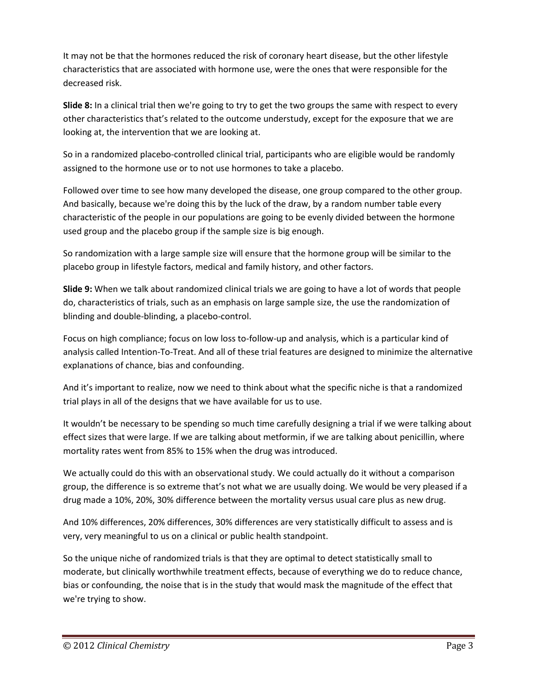It may not be that the hormones reduced the risk of coronary heart disease, but the other lifestyle characteristics that are associated with hormone use, were the ones that were responsible for the decreased risk.

**Slide 8:** In a clinical trial then we're going to try to get the two groups the same with respect to every other characteristics that's related to the outcome understudy, except for the exposure that we are looking at, the intervention that we are looking at.

So in a randomized placebo-controlled clinical trial, participants who are eligible would be randomly assigned to the hormone use or to not use hormones to take a placebo.

Followed over time to see how many developed the disease, one group compared to the other group. And basically, because we're doing this by the luck of the draw, by a random number table every characteristic of the people in our populations are going to be evenly divided between the hormone used group and the placebo group if the sample size is big enough.

So randomization with a large sample size will ensure that the hormone group will be similar to the placebo group in lifestyle factors, medical and family history, and other factors.

**Slide 9:** When we talk about randomized clinical trials we are going to have a lot of words that people do, characteristics of trials, such as an emphasis on large sample size, the use the randomization of blinding and double-blinding, a placebo-control.

Focus on high compliance; focus on low loss to-follow-up and analysis, which is a particular kind of analysis called Intention-To-Treat. And all of these trial features are designed to minimize the alternative explanations of chance, bias and confounding.

And it's important to realize, now we need to think about what the specific niche is that a randomized trial plays in all of the designs that we have available for us to use.

It wouldn't be necessary to be spending so much time carefully designing a trial if we were talking about effect sizes that were large. If we are talking about metformin, if we are talking about penicillin, where mortality rates went from 85% to 15% when the drug was introduced.

We actually could do this with an observational study. We could actually do it without a comparison group, the difference is so extreme that's not what we are usually doing. We would be very pleased if a drug made a 10%, 20%, 30% difference between the mortality versus usual care plus as new drug.

And 10% differences, 20% differences, 30% differences are very statistically difficult to assess and is very, very meaningful to us on a clinical or public health standpoint.

So the unique niche of randomized trials is that they are optimal to detect statistically small to moderate, but clinically worthwhile treatment effects, because of everything we do to reduce chance, bias or confounding, the noise that is in the study that would mask the magnitude of the effect that we're trying to show.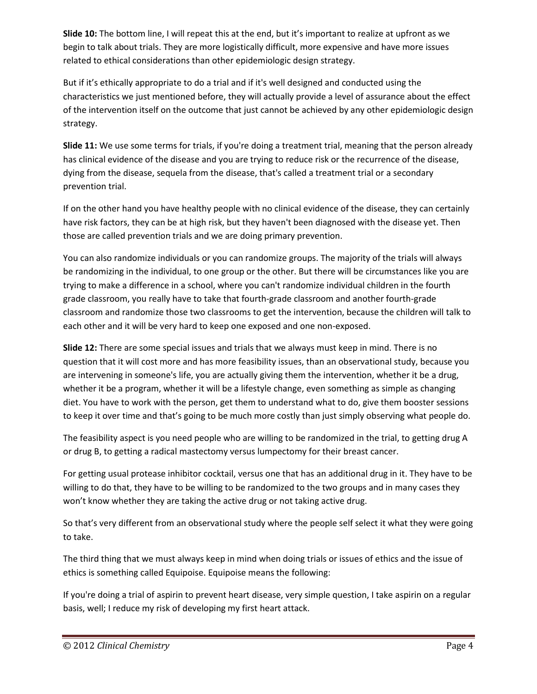**Slide 10:** The bottom line, I will repeat this at the end, but it's important to realize at upfront as we begin to talk about trials. They are more logistically difficult, more expensive and have more issues related to ethical considerations than other epidemiologic design strategy.

But if it's ethically appropriate to do a trial and if it's well designed and conducted using the characteristics we just mentioned before, they will actually provide a level of assurance about the effect of the intervention itself on the outcome that just cannot be achieved by any other epidemiologic design strategy.

**Slide 11:** We use some terms for trials, if you're doing a treatment trial, meaning that the person already has clinical evidence of the disease and you are trying to reduce risk or the recurrence of the disease, dying from the disease, sequela from the disease, that's called a treatment trial or a secondary prevention trial.

If on the other hand you have healthy people with no clinical evidence of the disease, they can certainly have risk factors, they can be at high risk, but they haven't been diagnosed with the disease yet. Then those are called prevention trials and we are doing primary prevention.

You can also randomize individuals or you can randomize groups. The majority of the trials will always be randomizing in the individual, to one group or the other. But there will be circumstances like you are trying to make a difference in a school, where you can't randomize individual children in the fourth grade classroom, you really have to take that fourth-grade classroom and another fourth-grade classroom and randomize those two classrooms to get the intervention, because the children will talk to each other and it will be very hard to keep one exposed and one non-exposed.

**Slide 12:** There are some special issues and trials that we always must keep in mind. There is no question that it will cost more and has more feasibility issues, than an observational study, because you are intervening in someone's life, you are actually giving them the intervention, whether it be a drug, whether it be a program, whether it will be a lifestyle change, even something as simple as changing diet. You have to work with the person, get them to understand what to do, give them booster sessions to keep it over time and that's going to be much more costly than just simply observing what people do.

The feasibility aspect is you need people who are willing to be randomized in the trial, to getting drug A or drug B, to getting a radical mastectomy versus lumpectomy for their breast cancer.

For getting usual protease inhibitor cocktail, versus one that has an additional drug in it. They have to be willing to do that, they have to be willing to be randomized to the two groups and in many cases they won't know whether they are taking the active drug or not taking active drug.

So that's very different from an observational study where the people self select it what they were going to take.

The third thing that we must always keep in mind when doing trials or issues of ethics and the issue of ethics is something called Equipoise. Equipoise means the following:

If you're doing a trial of aspirin to prevent heart disease, very simple question, I take aspirin on a regular basis, well; I reduce my risk of developing my first heart attack.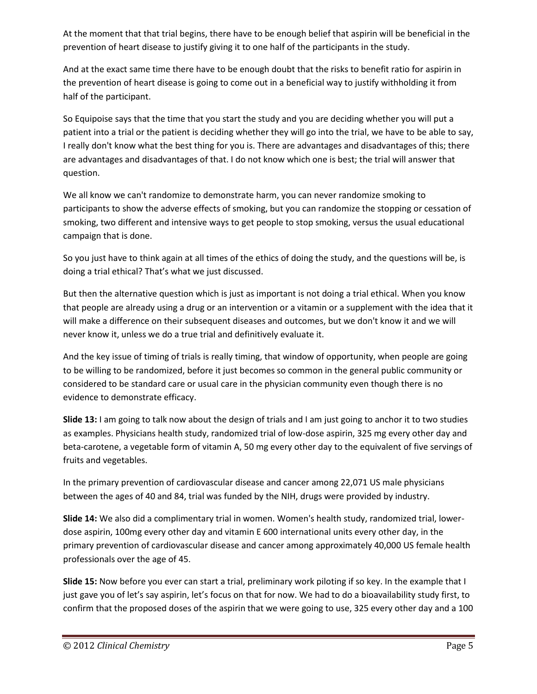At the moment that that trial begins, there have to be enough belief that aspirin will be beneficial in the prevention of heart disease to justify giving it to one half of the participants in the study.

And at the exact same time there have to be enough doubt that the risks to benefit ratio for aspirin in the prevention of heart disease is going to come out in a beneficial way to justify withholding it from half of the participant.

So Equipoise says that the time that you start the study and you are deciding whether you will put a patient into a trial or the patient is deciding whether they will go into the trial, we have to be able to say, I really don't know what the best thing for you is. There are advantages and disadvantages of this; there are advantages and disadvantages of that. I do not know which one is best; the trial will answer that question.

We all know we can't randomize to demonstrate harm, you can never randomize smoking to participants to show the adverse effects of smoking, but you can randomize the stopping or cessation of smoking, two different and intensive ways to get people to stop smoking, versus the usual educational campaign that is done.

So you just have to think again at all times of the ethics of doing the study, and the questions will be, is doing a trial ethical? That's what we just discussed.

But then the alternative question which is just as important is not doing a trial ethical. When you know that people are already using a drug or an intervention or a vitamin or a supplement with the idea that it will make a difference on their subsequent diseases and outcomes, but we don't know it and we will never know it, unless we do a true trial and definitively evaluate it.

And the key issue of timing of trials is really timing, that window of opportunity, when people are going to be willing to be randomized, before it just becomes so common in the general public community or considered to be standard care or usual care in the physician community even though there is no evidence to demonstrate efficacy.

**Slide 13:** I am going to talk now about the design of trials and I am just going to anchor it to two studies as examples. Physicians health study, randomized trial of low-dose aspirin, 325 mg every other day and beta-carotene, a vegetable form of vitamin A, 50 mg every other day to the equivalent of five servings of fruits and vegetables.

In the primary prevention of cardiovascular disease and cancer among 22,071 US male physicians between the ages of 40 and 84, trial was funded by the NIH, drugs were provided by industry.

**Slide 14:** We also did a complimentary trial in women. Women's health study, randomized trial, lowerdose aspirin, 100mg every other day and vitamin E 600 international units every other day, in the primary prevention of cardiovascular disease and cancer among approximately 40,000 US female health professionals over the age of 45.

**Slide 15:** Now before you ever can start a trial, preliminary work piloting if so key. In the example that I just gave you of let's say aspirin, let's focus on that for now. We had to do a bioavailability study first, to confirm that the proposed doses of the aspirin that we were going to use, 325 every other day and a 100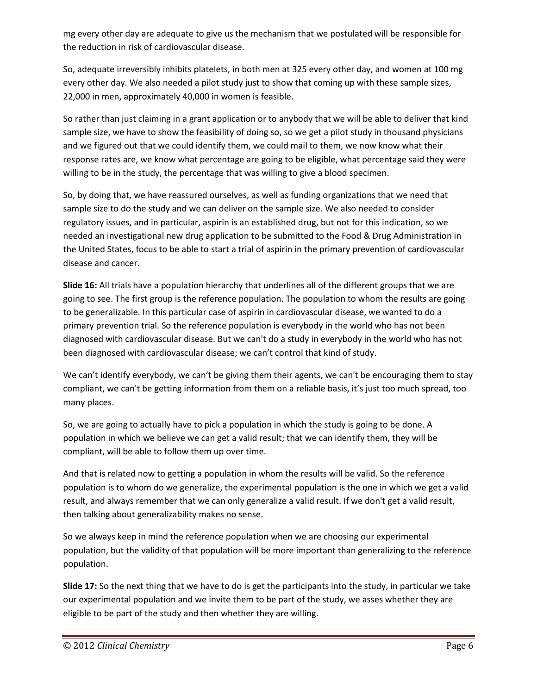mg every other day are adequate to give us the mechanism that we postulated will be responsible for the reduction in risk of cardiovascular disease.

So, adequate irreversibly inhibits platelets, in both men at 325 every other day, and women at 100 mg every other day. We also needed a pilot study just to show that coming up with these sample sizes, 22,000 in men, approximately 40,000 in women is feasible.

So rather than just claiming in a grant application or to anybody that we will be able to deliver that kind sample size, we have to show the feasibility of doing so, so we get a pilot study in thousand physicians and we figured out that we could identify them, we could mail to them, we now know what their response rates are, we know what percentage are going to be eligible, what percentage said they were willing to be in the study, the percentage that was willing to give a blood specimen.

So, by doing that, we have reassured ourselves, as well as funding organizations that we need that sample size to do the study and we can deliver on the sample size. We also needed to consider regulatory issues, and in particular, aspirin is an established drug, but not for this indication, so we needed an investigational new drug application to be submitted to the Food & Drug Administration in the United States, focus to be able to start a trial of aspirin in the primary prevention of cardiovascular disease and cancer.

**Slide 16:** All trials have a population hierarchy that underlines all of the different groups that we are going to see. The first group is the reference population. The population to whom the results are going to be generalizable. In this particular case of aspirin in cardiovascular disease, we wanted to do a primary prevention trial. So the reference population is everybody in the world who has not been diagnosed with cardiovascular disease. But we can't do a study in everybody in the world who has not been diagnosed with cardiovascular disease; we can't control that kind of study.

We can't identify everybody, we can't be giving them their agents, we can't be encouraging them to stay compliant, we can't be getting information from them on a reliable basis, it's just too much spread, too many places.

So, we are going to actually have to pick a population in which the study is going to be done. A population in which we believe we can get a valid result; that we can identify them, they will be compliant, will be able to follow them up over time.

And that is related now to getting a population in whom the results will be valid. So the reference population is to whom do we generalize, the experimental population is the one in which we get a valid result, and always remember that we can only generalize a valid result. If we don't get a valid result, then talking about generalizability makes no sense.

So we always keep in mind the reference population when we are choosing our experimental population, but the validity of that population will be more important than generalizing to the reference population.

**Slide 17:** So the next thing that we have to do is get the participants into the study, in particular we take our experimental population and we invite them to be part of the study, we asses whether they are eligible to be part of the study and then whether they are willing.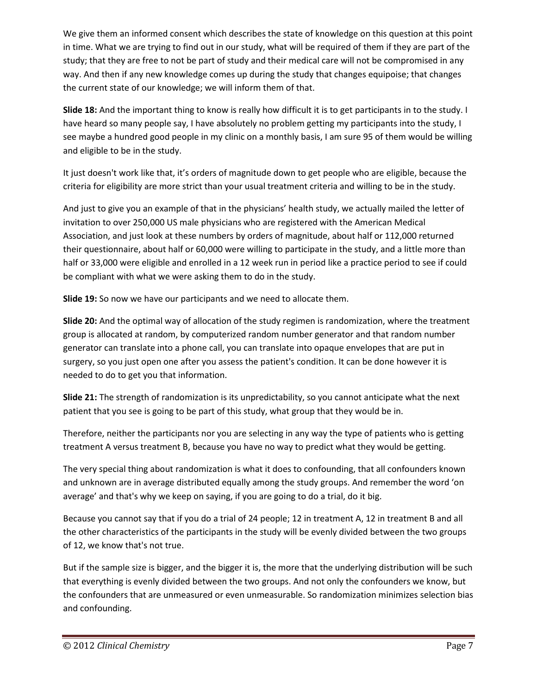We give them an informed consent which describes the state of knowledge on this question at this point in time. What we are trying to find out in our study, what will be required of them if they are part of the study; that they are free to not be part of study and their medical care will not be compromised in any way. And then if any new knowledge comes up during the study that changes equipoise; that changes the current state of our knowledge; we will inform them of that.

**Slide 18:** And the important thing to know is really how difficult it is to get participants in to the study. I have heard so many people say, I have absolutely no problem getting my participants into the study, I see maybe a hundred good people in my clinic on a monthly basis, I am sure 95 of them would be willing and eligible to be in the study.

It just doesn't work like that, it's orders of magnitude down to get people who are eligible, because the criteria for eligibility are more strict than your usual treatment criteria and willing to be in the study.

And just to give you an example of that in the physicians' health study, we actually mailed the letter of invitation to over 250,000 US male physicians who are registered with the American Medical Association, and just look at these numbers by orders of magnitude, about half or 112,000 returned their questionnaire, about half or 60,000 were willing to participate in the study, and a little more than half or 33,000 were eligible and enrolled in a 12 week run in period like a practice period to see if could be compliant with what we were asking them to do in the study.

**Slide 19:** So now we have our participants and we need to allocate them.

**Slide 20:** And the optimal way of allocation of the study regimen is randomization, where the treatment group is allocated at random, by computerized random number generator and that random number generator can translate into a phone call, you can translate into opaque envelopes that are put in surgery, so you just open one after you assess the patient's condition. It can be done however it is needed to do to get you that information.

**Slide 21:** The strength of randomization is its unpredictability, so you cannot anticipate what the next patient that you see is going to be part of this study, what group that they would be in.

Therefore, neither the participants nor you are selecting in any way the type of patients who is getting treatment A versus treatment B, because you have no way to predict what they would be getting.

The very special thing about randomization is what it does to confounding, that all confounders known and unknown are in average distributed equally among the study groups. And remember the word 'on average' and that's why we keep on saying, if you are going to do a trial, do it big.

Because you cannot say that if you do a trial of 24 people; 12 in treatment A, 12 in treatment B and all the other characteristics of the participants in the study will be evenly divided between the two groups of 12, we know that's not true.

But if the sample size is bigger, and the bigger it is, the more that the underlying distribution will be such that everything is evenly divided between the two groups. And not only the confounders we know, but the confounders that are unmeasured or even unmeasurable. So randomization minimizes selection bias and confounding.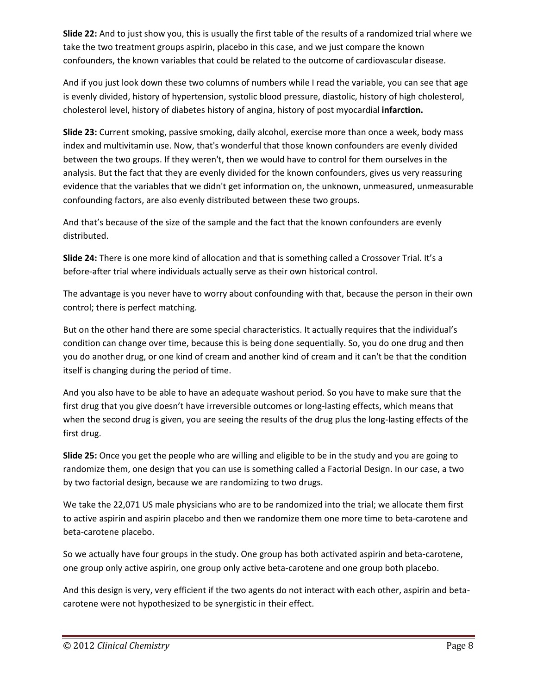**Slide 22:** And to just show you, this is usually the first table of the results of a randomized trial where we take the two treatment groups aspirin, placebo in this case, and we just compare the known confounders, the known variables that could be related to the outcome of cardiovascular disease.

And if you just look down these two columns of numbers while I read the variable, you can see that age is evenly divided, history of hypertension, systolic blood pressure, diastolic, history of high cholesterol, cholesterol level, history of diabetes history of angina, history of post myocardial **infarction.**

**Slide 23:** Current smoking, passive smoking, daily alcohol, exercise more than once a week, body mass index and multivitamin use. Now, that's wonderful that those known confounders are evenly divided between the two groups. If they weren't, then we would have to control for them ourselves in the analysis. But the fact that they are evenly divided for the known confounders, gives us very reassuring evidence that the variables that we didn't get information on, the unknown, unmeasured, unmeasurable confounding factors, are also evenly distributed between these two groups.

And that's because of the size of the sample and the fact that the known confounders are evenly distributed.

**Slide 24:** There is one more kind of allocation and that is something called a Crossover Trial. It's a before-after trial where individuals actually serve as their own historical control.

The advantage is you never have to worry about confounding with that, because the person in their own control; there is perfect matching.

But on the other hand there are some special characteristics. It actually requires that the individual's condition can change over time, because this is being done sequentially. So, you do one drug and then you do another drug, or one kind of cream and another kind of cream and it can't be that the condition itself is changing during the period of time.

And you also have to be able to have an adequate washout period. So you have to make sure that the first drug that you give doesn't have irreversible outcomes or long-lasting effects, which means that when the second drug is given, you are seeing the results of the drug plus the long-lasting effects of the first drug.

**Slide 25:** Once you get the people who are willing and eligible to be in the study and you are going to randomize them, one design that you can use is something called a Factorial Design. In our case, a two by two factorial design, because we are randomizing to two drugs.

We take the 22,071 US male physicians who are to be randomized into the trial; we allocate them first to active aspirin and aspirin placebo and then we randomize them one more time to beta-carotene and beta-carotene placebo.

So we actually have four groups in the study. One group has both activated aspirin and beta-carotene, one group only active aspirin, one group only active beta-carotene and one group both placebo.

And this design is very, very efficient if the two agents do not interact with each other, aspirin and betacarotene were not hypothesized to be synergistic in their effect.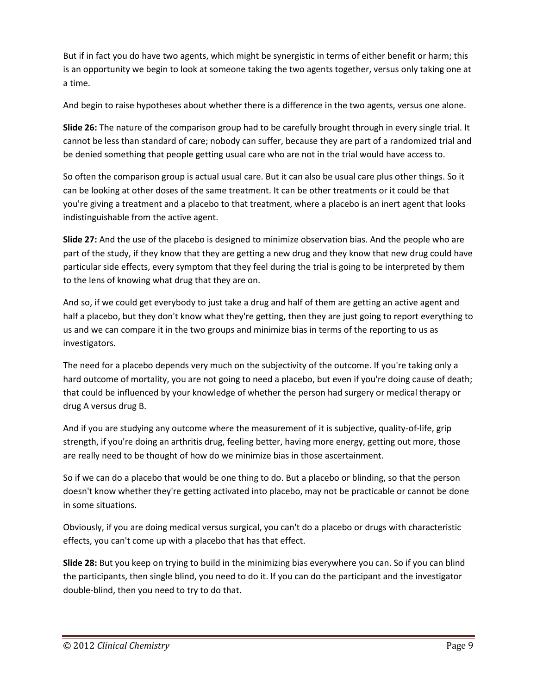But if in fact you do have two agents, which might be synergistic in terms of either benefit or harm; this is an opportunity we begin to look at someone taking the two agents together, versus only taking one at a time.

And begin to raise hypotheses about whether there is a difference in the two agents, versus one alone.

**Slide 26:** The nature of the comparison group had to be carefully brought through in every single trial. It cannot be less than standard of care; nobody can suffer, because they are part of a randomized trial and be denied something that people getting usual care who are not in the trial would have access to.

So often the comparison group is actual usual care. But it can also be usual care plus other things. So it can be looking at other doses of the same treatment. It can be other treatments or it could be that you're giving a treatment and a placebo to that treatment, where a placebo is an inert agent that looks indistinguishable from the active agent.

**Slide 27:** And the use of the placebo is designed to minimize observation bias. And the people who are part of the study, if they know that they are getting a new drug and they know that new drug could have particular side effects, every symptom that they feel during the trial is going to be interpreted by them to the lens of knowing what drug that they are on.

And so, if we could get everybody to just take a drug and half of them are getting an active agent and half a placebo, but they don't know what they're getting, then they are just going to report everything to us and we can compare it in the two groups and minimize bias in terms of the reporting to us as investigators.

The need for a placebo depends very much on the subjectivity of the outcome. If you're taking only a hard outcome of mortality, you are not going to need a placebo, but even if you're doing cause of death; that could be influenced by your knowledge of whether the person had surgery or medical therapy or drug A versus drug B.

And if you are studying any outcome where the measurement of it is subjective, quality-of-life, grip strength, if you're doing an arthritis drug, feeling better, having more energy, getting out more, those are really need to be thought of how do we minimize bias in those ascertainment.

So if we can do a placebo that would be one thing to do. But a placebo or blinding, so that the person doesn't know whether they're getting activated into placebo, may not be practicable or cannot be done in some situations.

Obviously, if you are doing medical versus surgical, you can't do a placebo or drugs with characteristic effects, you can't come up with a placebo that has that effect.

**Slide 28:** But you keep on trying to build in the minimizing bias everywhere you can. So if you can blind the participants, then single blind, you need to do it. If you can do the participant and the investigator double-blind, then you need to try to do that.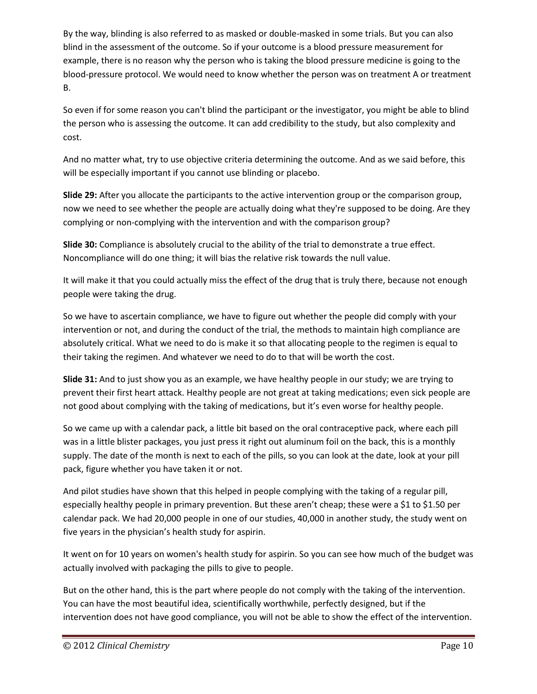By the way, blinding is also referred to as masked or double-masked in some trials. But you can also blind in the assessment of the outcome. So if your outcome is a blood pressure measurement for example, there is no reason why the person who is taking the blood pressure medicine is going to the blood-pressure protocol. We would need to know whether the person was on treatment A or treatment B.

So even if for some reason you can't blind the participant or the investigator, you might be able to blind the person who is assessing the outcome. It can add credibility to the study, but also complexity and cost.

And no matter what, try to use objective criteria determining the outcome. And as we said before, this will be especially important if you cannot use blinding or placebo.

**Slide 29:** After you allocate the participants to the active intervention group or the comparison group, now we need to see whether the people are actually doing what they're supposed to be doing. Are they complying or non-complying with the intervention and with the comparison group?

**Slide 30:** Compliance is absolutely crucial to the ability of the trial to demonstrate a true effect. Noncompliance will do one thing; it will bias the relative risk towards the null value.

It will make it that you could actually miss the effect of the drug that is truly there, because not enough people were taking the drug.

So we have to ascertain compliance, we have to figure out whether the people did comply with your intervention or not, and during the conduct of the trial, the methods to maintain high compliance are absolutely critical. What we need to do is make it so that allocating people to the regimen is equal to their taking the regimen. And whatever we need to do to that will be worth the cost.

**Slide 31:** And to just show you as an example, we have healthy people in our study; we are trying to prevent their first heart attack. Healthy people are not great at taking medications; even sick people are not good about complying with the taking of medications, but it's even worse for healthy people.

So we came up with a calendar pack, a little bit based on the oral contraceptive pack, where each pill was in a little blister packages, you just press it right out aluminum foil on the back, this is a monthly supply. The date of the month is next to each of the pills, so you can look at the date, look at your pill pack, figure whether you have taken it or not.

And pilot studies have shown that this helped in people complying with the taking of a regular pill, especially healthy people in primary prevention. But these aren't cheap; these were a \$1 to \$1.50 per calendar pack. We had 20,000 people in one of our studies, 40,000 in another study, the study went on five years in the physician's health study for aspirin.

It went on for 10 years on women's health study for aspirin. So you can see how much of the budget was actually involved with packaging the pills to give to people.

But on the other hand, this is the part where people do not comply with the taking of the intervention. You can have the most beautiful idea, scientifically worthwhile, perfectly designed, but if the intervention does not have good compliance, you will not be able to show the effect of the intervention.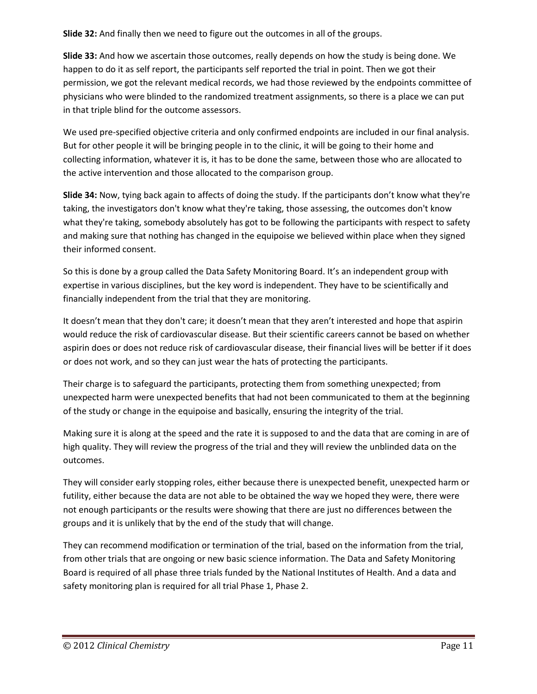**Slide 32:** And finally then we need to figure out the outcomes in all of the groups.

**Slide 33:** And how we ascertain those outcomes, really depends on how the study is being done. We happen to do it as self report, the participants self reported the trial in point. Then we got their permission, we got the relevant medical records, we had those reviewed by the endpoints committee of physicians who were blinded to the randomized treatment assignments, so there is a place we can put in that triple blind for the outcome assessors.

We used pre-specified objective criteria and only confirmed endpoints are included in our final analysis. But for other people it will be bringing people in to the clinic, it will be going to their home and collecting information, whatever it is, it has to be done the same, between those who are allocated to the active intervention and those allocated to the comparison group.

**Slide 34:** Now, tying back again to affects of doing the study. If the participants don't know what they're taking, the investigators don't know what they're taking, those assessing, the outcomes don't know what they're taking, somebody absolutely has got to be following the participants with respect to safety and making sure that nothing has changed in the equipoise we believed within place when they signed their informed consent.

So this is done by a group called the Data Safety Monitoring Board. It's an independent group with expertise in various disciplines, but the key word is independent. They have to be scientifically and financially independent from the trial that they are monitoring.

It doesn't mean that they don't care; it doesn't mean that they aren't interested and hope that aspirin would reduce the risk of cardiovascular disease. But their scientific careers cannot be based on whether aspirin does or does not reduce risk of cardiovascular disease, their financial lives will be better if it does or does not work, and so they can just wear the hats of protecting the participants.

Their charge is to safeguard the participants, protecting them from something unexpected; from unexpected harm were unexpected benefits that had not been communicated to them at the beginning of the study or change in the equipoise and basically, ensuring the integrity of the trial.

Making sure it is along at the speed and the rate it is supposed to and the data that are coming in are of high quality. They will review the progress of the trial and they will review the unblinded data on the outcomes.

They will consider early stopping roles, either because there is unexpected benefit, unexpected harm or futility, either because the data are not able to be obtained the way we hoped they were, there were not enough participants or the results were showing that there are just no differences between the groups and it is unlikely that by the end of the study that will change.

They can recommend modification or termination of the trial, based on the information from the trial, from other trials that are ongoing or new basic science information. The Data and Safety Monitoring Board is required of all phase three trials funded by the National Institutes of Health. And a data and safety monitoring plan is required for all trial Phase 1, Phase 2.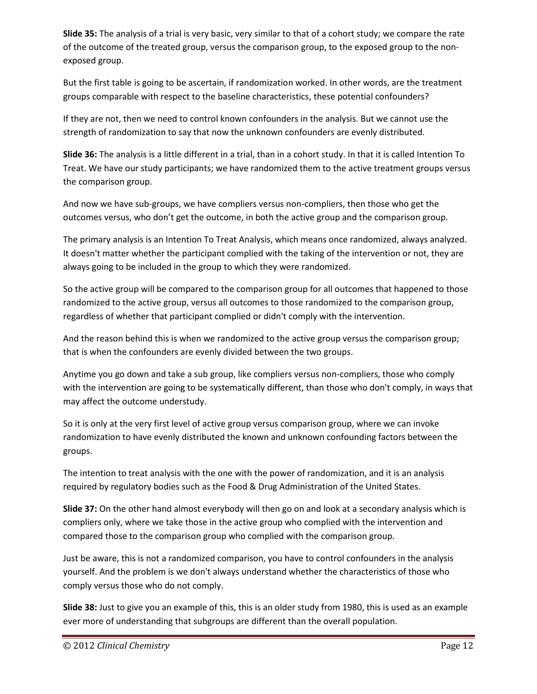**Slide 35:** The analysis of a trial is very basic, very similar to that of a cohort study; we compare the rate of the outcome of the treated group, versus the comparison group, to the exposed group to the nonexposed group.

But the first table is going to be ascertain, if randomization worked. In other words, are the treatment groups comparable with respect to the baseline characteristics, these potential confounders?

If they are not, then we need to control known confounders in the analysis. But we cannot use the strength of randomization to say that now the unknown confounders are evenly distributed.

**Slide 36:** The analysis is a little different in a trial, than in a cohort study. In that it is called Intention To Treat. We have our study participants; we have randomized them to the active treatment groups versus the comparison group.

And now we have sub-groups, we have compliers versus non-compliers, then those who get the outcomes versus, who don't get the outcome, in both the active group and the comparison group.

The primary analysis is an Intention To Treat Analysis, which means once randomized, always analyzed. It doesn't matter whether the participant complied with the taking of the intervention or not, they are always going to be included in the group to which they were randomized.

So the active group will be compared to the comparison group for all outcomes that happened to those randomized to the active group, versus all outcomes to those randomized to the comparison group, regardless of whether that participant complied or didn't comply with the intervention.

And the reason behind this is when we randomized to the active group versus the comparison group; that is when the confounders are evenly divided between the two groups.

Anytime you go down and take a sub group, like compliers versus non-compliers, those who comply with the intervention are going to be systematically different, than those who don't comply, in ways that may affect the outcome understudy.

So it is only at the very first level of active group versus comparison group, where we can invoke randomization to have evenly distributed the known and unknown confounding factors between the groups.

The intention to treat analysis with the one with the power of randomization, and it is an analysis required by regulatory bodies such as the Food & Drug Administration of the United States.

**Slide 37:** On the other hand almost everybody will then go on and look at a secondary analysis which is compliers only, where we take those in the active group who complied with the intervention and compared those to the comparison group who complied with the comparison group.

Just be aware, this is not a randomized comparison, you have to control confounders in the analysis yourself. And the problem is we don't always understand whether the characteristics of those who comply versus those who do not comply.

**Slide 38:** Just to give you an example of this, this is an older study from 1980, this is used as an example ever more of understanding that subgroups are different than the overall population.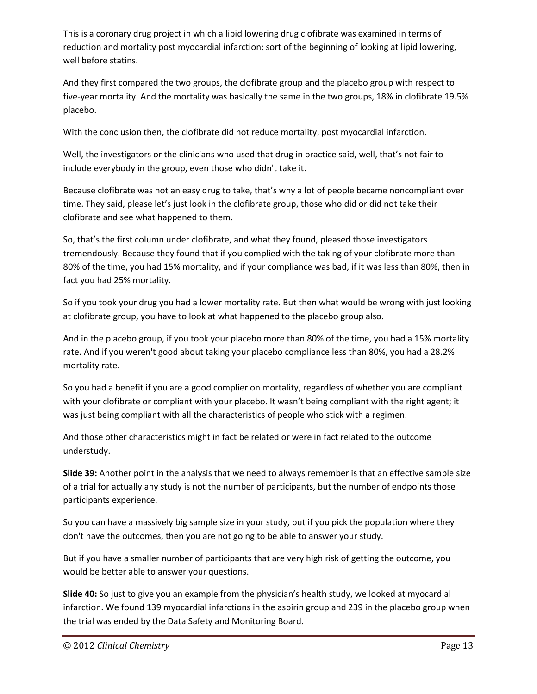This is a coronary drug project in which a lipid lowering drug clofibrate was examined in terms of reduction and mortality post myocardial infarction; sort of the beginning of looking at lipid lowering, well before statins.

And they first compared the two groups, the clofibrate group and the placebo group with respect to five-year mortality. And the mortality was basically the same in the two groups, 18% in clofibrate 19.5% placebo.

With the conclusion then, the clofibrate did not reduce mortality, post myocardial infarction.

Well, the investigators or the clinicians who used that drug in practice said, well, that's not fair to include everybody in the group, even those who didn't take it.

Because clofibrate was not an easy drug to take, that's why a lot of people became noncompliant over time. They said, please let's just look in the clofibrate group, those who did or did not take their clofibrate and see what happened to them.

So, that's the first column under clofibrate, and what they found, pleased those investigators tremendously. Because they found that if you complied with the taking of your clofibrate more than 80% of the time, you had 15% mortality, and if your compliance was bad, if it was less than 80%, then in fact you had 25% mortality.

So if you took your drug you had a lower mortality rate. But then what would be wrong with just looking at clofibrate group, you have to look at what happened to the placebo group also.

And in the placebo group, if you took your placebo more than 80% of the time, you had a 15% mortality rate. And if you weren't good about taking your placebo compliance less than 80%, you had a 28.2% mortality rate.

So you had a benefit if you are a good complier on mortality, regardless of whether you are compliant with your clofibrate or compliant with your placebo. It wasn't being compliant with the right agent; it was just being compliant with all the characteristics of people who stick with a regimen.

And those other characteristics might in fact be related or were in fact related to the outcome understudy.

**Slide 39:** Another point in the analysis that we need to always remember is that an effective sample size of a trial for actually any study is not the number of participants, but the number of endpoints those participants experience.

So you can have a massively big sample size in your study, but if you pick the population where they don't have the outcomes, then you are not going to be able to answer your study.

But if you have a smaller number of participants that are very high risk of getting the outcome, you would be better able to answer your questions.

**Slide 40:** So just to give you an example from the physician's health study, we looked at myocardial infarction. We found 139 myocardial infarctions in the aspirin group and 239 in the placebo group when the trial was ended by the Data Safety and Monitoring Board.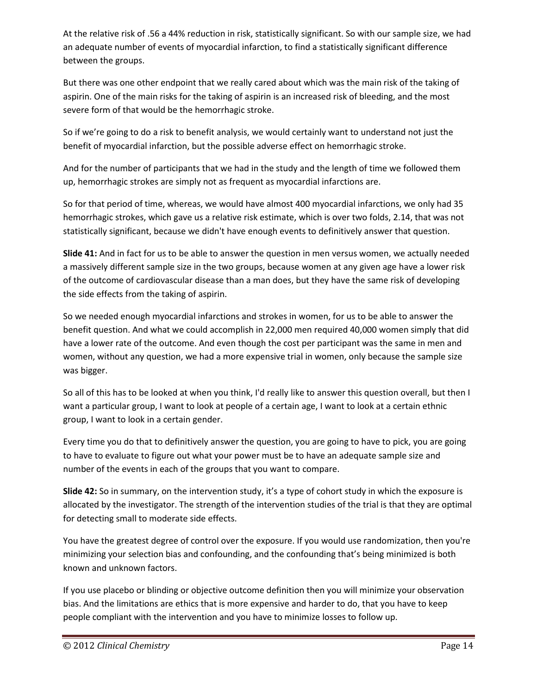At the relative risk of .56 a 44% reduction in risk, statistically significant. So with our sample size, we had an adequate number of events of myocardial infarction, to find a statistically significant difference between the groups.

But there was one other endpoint that we really cared about which was the main risk of the taking of aspirin. One of the main risks for the taking of aspirin is an increased risk of bleeding, and the most severe form of that would be the hemorrhagic stroke.

So if we're going to do a risk to benefit analysis, we would certainly want to understand not just the benefit of myocardial infarction, but the possible adverse effect on hemorrhagic stroke.

And for the number of participants that we had in the study and the length of time we followed them up, hemorrhagic strokes are simply not as frequent as myocardial infarctions are.

So for that period of time, whereas, we would have almost 400 myocardial infarctions, we only had 35 hemorrhagic strokes, which gave us a relative risk estimate, which is over two folds, 2.14, that was not statistically significant, because we didn't have enough events to definitively answer that question.

**Slide 41:** And in fact for us to be able to answer the question in men versus women, we actually needed a massively different sample size in the two groups, because women at any given age have a lower risk of the outcome of cardiovascular disease than a man does, but they have the same risk of developing the side effects from the taking of aspirin.

So we needed enough myocardial infarctions and strokes in women, for us to be able to answer the benefit question. And what we could accomplish in 22,000 men required 40,000 women simply that did have a lower rate of the outcome. And even though the cost per participant was the same in men and women, without any question, we had a more expensive trial in women, only because the sample size was bigger.

So all of this has to be looked at when you think, I'd really like to answer this question overall, but then I want a particular group, I want to look at people of a certain age, I want to look at a certain ethnic group, I want to look in a certain gender.

Every time you do that to definitively answer the question, you are going to have to pick, you are going to have to evaluate to figure out what your power must be to have an adequate sample size and number of the events in each of the groups that you want to compare.

**Slide 42:** So in summary, on the intervention study, it's a type of cohort study in which the exposure is allocated by the investigator. The strength of the intervention studies of the trial is that they are optimal for detecting small to moderate side effects.

You have the greatest degree of control over the exposure. If you would use randomization, then you're minimizing your selection bias and confounding, and the confounding that's being minimized is both known and unknown factors.

If you use placebo or blinding or objective outcome definition then you will minimize your observation bias. And the limitations are ethics that is more expensive and harder to do, that you have to keep people compliant with the intervention and you have to minimize losses to follow up.